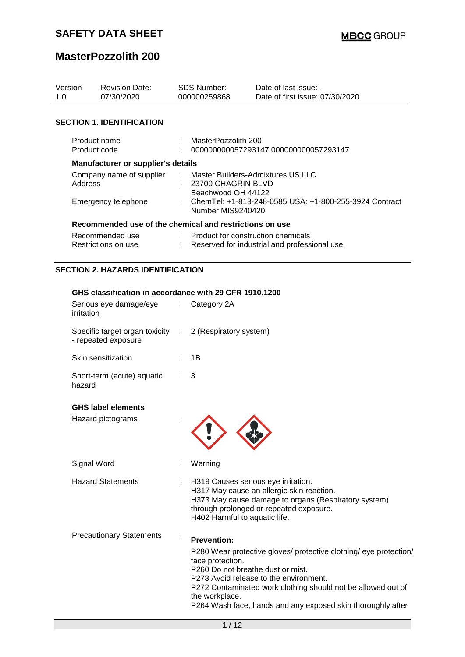## **SAFETY DATA SHEET**

# **MasterPozzolith 200**

| Version<br>1.0                      |            | <b>Revision Date:</b><br>07/30/2020                                            |                                                                                | <b>SDS Number:</b><br>000000259868   | Date of last issue: -<br>Date of first issue: 07/30/2020 |  |  |
|-------------------------------------|------------|--------------------------------------------------------------------------------|--------------------------------------------------------------------------------|--------------------------------------|----------------------------------------------------------|--|--|
|                                     |            | <b>SECTION 1. IDENTIFICATION</b>                                               |                                                                                |                                      |                                                          |  |  |
| Product name<br>Product code        |            | $\mathcal{L}$                                                                  | MasterPozzolith 200<br>000000000057293147 000000000057293147                   |                                      |                                                          |  |  |
|                                     |            | Manufacturer or supplier's details                                             |                                                                                |                                      |                                                          |  |  |
| Company name of supplier<br>Address |            | $-1.11$                                                                        | Master Builders-Admixtures US, LLC<br>23700 CHAGRIN BLVD<br>Beachwood OH 44122 |                                      |                                                          |  |  |
|                                     |            | Emergency telephone                                                            |                                                                                | Number MIS9240420                    | ChemTel: +1-813-248-0585 USA: +1-800-255-3924 Contract   |  |  |
|                                     |            | Recommended use of the chemical and restrictions on use                        |                                                                                |                                      |                                                          |  |  |
|                                     |            | Recommended use<br>Restrictions on use                                         |                                                                                | : Product for construction chemicals | Reserved for industrial and professional use.            |  |  |
|                                     |            | <b>SECTION 2. HAZARDS IDENTIFICATION</b>                                       |                                                                                |                                      |                                                          |  |  |
|                                     |            | GHS classification in accordance with 29 CFR 1910.1200                         |                                                                                |                                      |                                                          |  |  |
|                                     | irritation | Serious eye damage/eye                                                         |                                                                                | $\therefore$ Category 2A             |                                                          |  |  |
|                                     |            | Specific target organ toxicity : 2 (Respiratory system)<br>- repeated exposure |                                                                                |                                      |                                                          |  |  |
|                                     |            | Skin sensitization                                                             |                                                                                | 1B                                   |                                                          |  |  |
|                                     | hazard     | Short-term (acute) aquatic                                                     |                                                                                | 3                                    |                                                          |  |  |

### **GHS label elements**

| Hazard pictograms               |                                                                                                                                                                                                                                                                                                                                                         |  |
|---------------------------------|---------------------------------------------------------------------------------------------------------------------------------------------------------------------------------------------------------------------------------------------------------------------------------------------------------------------------------------------------------|--|
| Signal Word                     | Warning                                                                                                                                                                                                                                                                                                                                                 |  |
| <b>Hazard Statements</b>        | H319 Causes serious eye irritation.<br>H317 May cause an allergic skin reaction.<br>H373 May cause damage to organs (Respiratory system)<br>through prolonged or repeated exposure.<br>H402 Harmful to aquatic life.                                                                                                                                    |  |
| <b>Precautionary Statements</b> | <b>Prevention:</b><br>P280 Wear protective gloves/ protective clothing/ eye protection/<br>face protection.<br>P <sub>260</sub> Do not breathe dust or mist.<br>P273 Avoid release to the environment.<br>P272 Contaminated work clothing should not be allowed out of<br>the workplace.<br>P264 Wash face, hands and any exposed skin thoroughly after |  |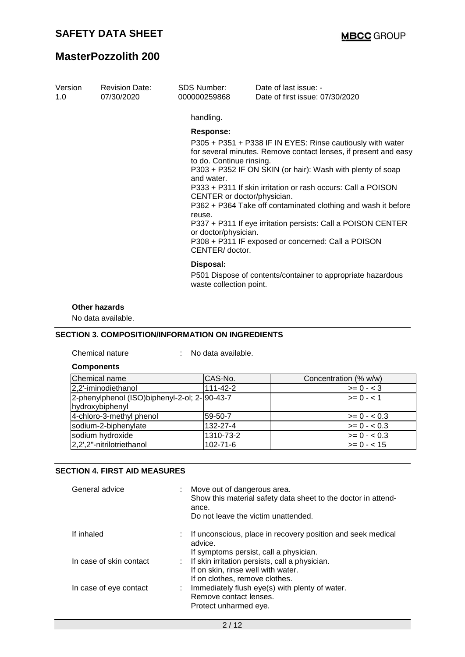| Version<br>1.0 | <b>Revision Date:</b><br>07/30/2020 | <b>SDS Number:</b><br>000000259868                                                                                                      | Date of last issue: -<br>Date of first issue: 07/30/2020                                                                                                                                                                                                                                                                                                                                                                                           |
|----------------|-------------------------------------|-----------------------------------------------------------------------------------------------------------------------------------------|----------------------------------------------------------------------------------------------------------------------------------------------------------------------------------------------------------------------------------------------------------------------------------------------------------------------------------------------------------------------------------------------------------------------------------------------------|
|                |                                     | handling.                                                                                                                               |                                                                                                                                                                                                                                                                                                                                                                                                                                                    |
|                |                                     | Response:<br>to do. Continue rinsing.<br>and water.<br>CENTER or doctor/physician.<br>reuse.<br>or doctor/physician.<br>CENTER/ doctor. | P305 + P351 + P338 IF IN EYES: Rinse cautiously with water<br>for several minutes. Remove contact lenses, if present and easy<br>P303 + P352 IF ON SKIN (or hair): Wash with plenty of soap<br>P333 + P311 If skin irritation or rash occurs: Call a POISON<br>P362 + P364 Take off contaminated clothing and wash it before<br>P337 + P311 If eye irritation persists: Call a POISON CENTER<br>P308 + P311 IF exposed or concerned: Call a POISON |
|                |                                     | Disposal:<br>waste collection point.                                                                                                    | P501 Dispose of contents/container to appropriate hazardous                                                                                                                                                                                                                                                                                                                                                                                        |

### **Other hazards**

No data available.

### **SECTION 3. COMPOSITION/INFORMATION ON INGREDIENTS**

Chemical nature : No data available.

| <b>Components</b>                                                |                |                       |
|------------------------------------------------------------------|----------------|-----------------------|
| Chemical name                                                    | CAS-No.        | Concentration (% w/w) |
| 2,2'-iminodiethanol                                              | $111 - 42 - 2$ | $>= 0 - 3$            |
| 2-phenylphenol (ISO)biphenyl-2-ol; 2- 90-43-7<br>hydroxybiphenyl |                | $>= 0 - 1$            |
| 4-chloro-3-methyl phenol                                         | 59-50-7        | $>= 0 - 0.3$          |
| sodium-2-biphenylate                                             | 132-27-4       | $>= 0 - 0.3$          |
| sodium hydroxide                                                 | 1310-73-2      | $>= 0 - 0.3$          |
| 2,2',2"-nitrilotriethanol                                        | 102-71-6       | $>= 0 - 15$           |

#### **SECTION 4. FIRST AID MEASURES**

| General advice          | Move out of dangerous area.<br>Show this material safety data sheet to the doctor in attend-<br>ance.<br>Do not leave the victim unattended. |
|-------------------------|----------------------------------------------------------------------------------------------------------------------------------------------|
| If inhaled              | : If unconscious, place in recovery position and seek medical<br>advice.                                                                     |
|                         | If symptoms persist, call a physician.                                                                                                       |
| In case of skin contact | : If skin irritation persists, call a physician.                                                                                             |
|                         | If on skin, rinse well with water.                                                                                                           |
|                         | If on clothes, remove clothes.                                                                                                               |
| In case of eye contact  | : Immediately flush eye(s) with plenty of water.<br>Remove contact lenses.<br>Protect unharmed eye.                                          |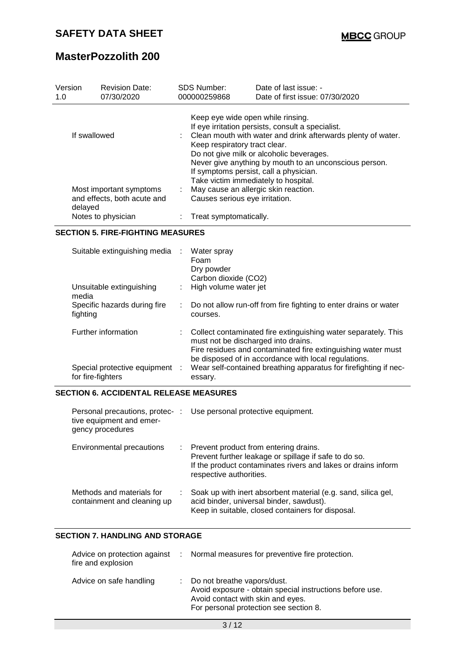| Version<br>1.0 | <b>Revision Date:</b><br>07/30/2020                    | <b>SDS Number:</b><br>000000259868                                                                             | Date of last issue: -<br>Date of first issue: 07/30/2020                                                                                                        |
|----------------|--------------------------------------------------------|----------------------------------------------------------------------------------------------------------------|-----------------------------------------------------------------------------------------------------------------------------------------------------------------|
| If swallowed   |                                                        | Keep eye wide open while rinsing.<br>Keep respiratory tract clear.                                             | If eye irritation persists, consult a specialist.<br>: Clean mouth with water and drink afterwards plenty of water.<br>Do not give milk or alcoholic beverages. |
| delayed        | Most important symptoms<br>and effects, both acute and | Take victim immediately to hospital.<br>May cause an allergic skin reaction.<br>Causes serious eye irritation. | Never give anything by mouth to an unconscious person.<br>If symptoms persist, call a physician.                                                                |
|                | Notes to physician                                     | Treat symptomatically.                                                                                         |                                                                                                                                                                 |

#### **SECTION 5. FIRE-FIGHTING MEASURES**

| Suitable extinguishing media :                      | Water spray<br>Foam<br>Dry powder<br>Carbon dioxide (CO2)                                                                                                                                                                       |
|-----------------------------------------------------|---------------------------------------------------------------------------------------------------------------------------------------------------------------------------------------------------------------------------------|
| Unsuitable extinguishing<br>media                   | : High volume water jet                                                                                                                                                                                                         |
| Specific hazards during fire<br>fighting            | : Do not allow run-off from fire fighting to enter drains or water<br>courses.                                                                                                                                                  |
| Further information                                 | : Collect contaminated fire extinguishing water separately. This<br>must not be discharged into drains.<br>Fire residues and contaminated fire extinguishing water must<br>be disposed of in accordance with local regulations. |
| Special protective equipment :<br>for fire-fighters | Wear self-contained breathing apparatus for firefighting if nec-<br>essary.                                                                                                                                                     |

### **SECTION 6. ACCIDENTAL RELEASE MEASURES**

| tive equipment and emer-<br>gency procedures             | Personal precautions, protec- : Use personal protective equipment.                                                                                                                         |
|----------------------------------------------------------|--------------------------------------------------------------------------------------------------------------------------------------------------------------------------------------------|
| Environmental precautions<br>÷.                          | Prevent product from entering drains.<br>Prevent further leakage or spillage if safe to do so.<br>If the product contaminates rivers and lakes or drains inform<br>respective authorities. |
| Methods and materials for<br>containment and cleaning up | Soak up with inert absorbent material (e.g. sand, silica gel,<br>acid binder, universal binder, sawdust).<br>Keep in suitable, closed containers for disposal.                             |

## **SECTION 7. HANDLING AND STORAGE**

| fire and explosion      | Advice on protection against : Normal measures for preventive fire protection.                                                                                         |
|-------------------------|------------------------------------------------------------------------------------------------------------------------------------------------------------------------|
| Advice on safe handling | Do not breathe vapors/dust.<br>Avoid exposure - obtain special instructions before use.<br>Avoid contact with skin and eyes.<br>For personal protection see section 8. |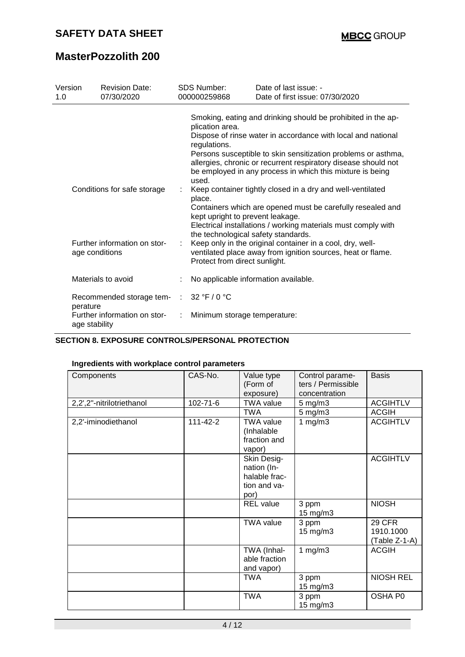| Version<br>1.0 | <b>Revision Date:</b><br>07/30/2020                                           |   | <b>SDS Number:</b><br>000000259868                                                | Date of last issue: -<br>Date of first issue: 07/30/2020                                                                                                                                                                                                                                                                     |
|----------------|-------------------------------------------------------------------------------|---|-----------------------------------------------------------------------------------|------------------------------------------------------------------------------------------------------------------------------------------------------------------------------------------------------------------------------------------------------------------------------------------------------------------------------|
|                |                                                                               |   | plication area.<br>regulations.<br>used.                                          | Smoking, eating and drinking should be prohibited in the ap-<br>Dispose of rinse water in accordance with local and national<br>Persons susceptible to skin sensitization problems or asthma,<br>allergies, chronic or recurrent respiratory disease should not<br>be employed in any process in which this mixture is being |
|                | Conditions for safe storage<br>Further information on stor-<br>age conditions | ÷ | place.<br>kept upright to prevent leakage.<br>the technological safety standards. | Keep container tightly closed in a dry and well-ventilated<br>Containers which are opened must be carefully resealed and<br>Electrical installations / working materials must comply with<br>Keep only in the original container in a cool, dry, well-<br>ventilated place away from ignition sources, heat or flame.        |
|                | Materials to avoid                                                            |   | Protect from direct sunlight.<br>No applicable information available.             |                                                                                                                                                                                                                                                                                                                              |
| perature       | Recommended storage tem- :                                                    |   | 32 °F / 0 °C                                                                      |                                                                                                                                                                                                                                                                                                                              |
|                | Further information on stor-<br>age stability                                 |   | Minimum storage temperature:                                                      |                                                                                                                                                                                                                                                                                                                              |

### **SECTION 8. EXPOSURE CONTROLS/PERSONAL PROTECTION**

### **Ingredients with workplace control parameters**

| Components                | CAS-No.        | Value type       | Control parame-    | <b>Basis</b>     |
|---------------------------|----------------|------------------|--------------------|------------------|
|                           |                | (Form of         | ters / Permissible |                  |
|                           |                | exposure)        | concentration      |                  |
| 2,2',2"-nitrilotriethanol | $102 - 71 - 6$ | <b>TWA value</b> | $5$ mg/m $3$       | <b>ACGIHTLV</b>  |
|                           |                | <b>TWA</b>       | $5$ mg/m $3$       | <b>ACGIH</b>     |
| 2,2'-iminodiethanol       | 111-42-2       | <b>TWA value</b> | 1 $mg/m3$          | <b>ACGIHTLV</b>  |
|                           |                | (Inhalable       |                    |                  |
|                           |                | fraction and     |                    |                  |
|                           |                | vapor)           |                    |                  |
|                           |                | Skin Desig-      |                    | <b>ACGIHTLV</b>  |
|                           |                | nation (In-      |                    |                  |
|                           |                | halable frac-    |                    |                  |
|                           |                | tion and va-     |                    |                  |
|                           |                | por)             |                    |                  |
|                           |                | <b>REL</b> value | 3 ppm              | <b>NIOSH</b>     |
|                           |                |                  | 15 mg/m3           |                  |
|                           |                | <b>TWA value</b> | 3 ppm              | <b>29 CFR</b>    |
|                           |                |                  | $15 \text{ mg/m}$  | 1910.1000        |
|                           |                |                  |                    | (Table Z-1-A)    |
|                           |                | TWA (Inhal-      | 1 $mg/m3$          | <b>ACGIH</b>     |
|                           |                | able fraction    |                    |                  |
|                           |                | and vapor)       |                    |                  |
|                           |                | <b>TWA</b>       | 3 ppm              | <b>NIOSH REL</b> |
|                           |                |                  | 15 mg/m3           |                  |
|                           |                | <b>TWA</b>       | 3 ppm              | OSHA P0          |
|                           |                |                  | 15 mg/m3           |                  |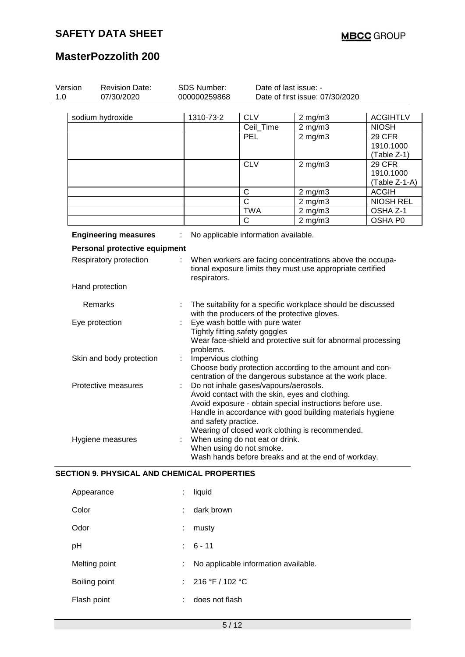| Version<br>1.0 | <b>Revision Date:</b><br>07/30/2020 |   | <b>SDS Number:</b><br>000000259868                                                                                                         |                                                                   | Date of last issue: -<br>Date of first issue: 07/30/2020                                                                                                                 |                                      |  |
|----------------|-------------------------------------|---|--------------------------------------------------------------------------------------------------------------------------------------------|-------------------------------------------------------------------|--------------------------------------------------------------------------------------------------------------------------------------------------------------------------|--------------------------------------|--|
|                |                                     |   |                                                                                                                                            |                                                                   |                                                                                                                                                                          |                                      |  |
|                | sodium hydroxide                    |   | 1310-73-2                                                                                                                                  | <b>CLV</b>                                                        | $2$ mg/m $3$                                                                                                                                                             | <b>ACGIHTLV</b>                      |  |
|                |                                     |   |                                                                                                                                            | Ceil_Time                                                         | $2$ mg/m $3$                                                                                                                                                             | <b>NIOSH</b>                         |  |
|                |                                     |   |                                                                                                                                            | PEL                                                               | $2$ mg/m $3$                                                                                                                                                             | 29 CFR<br>1910.1000<br>(Table Z-1)   |  |
|                |                                     |   |                                                                                                                                            | <b>CLV</b>                                                        | $2$ mg/m $3$                                                                                                                                                             | 29 CFR<br>1910.1000<br>(Table Z-1-A) |  |
|                |                                     |   |                                                                                                                                            | $\mathsf C$                                                       | $2$ mg/m $3$                                                                                                                                                             | <b>ACGIH</b>                         |  |
|                |                                     |   |                                                                                                                                            | $\mathsf{C}$                                                      | $2$ mg/m $3$                                                                                                                                                             | <b>NIOSH REL</b>                     |  |
|                |                                     |   |                                                                                                                                            | <b>TWA</b>                                                        | $2 \text{ mg/m}$                                                                                                                                                         | OSHA Z-1                             |  |
|                |                                     |   |                                                                                                                                            | C                                                                 | $2$ mg/m $3$                                                                                                                                                             | OSHA P0                              |  |
|                | <b>Engineering measures</b>         |   |                                                                                                                                            | No applicable information available.                              |                                                                                                                                                                          |                                      |  |
|                | Personal protective equipment       |   |                                                                                                                                            |                                                                   |                                                                                                                                                                          |                                      |  |
|                | Respiratory protection              |   | When workers are facing concentrations above the occupa-<br>tional exposure limits they must use appropriate certified<br>respirators.     |                                                                   |                                                                                                                                                                          |                                      |  |
|                | Hand protection                     |   |                                                                                                                                            |                                                                   |                                                                                                                                                                          |                                      |  |
|                | Remarks                             |   | The suitability for a specific workplace should be discussed<br>with the producers of the protective gloves.                               |                                                                   |                                                                                                                                                                          |                                      |  |
|                | Eye protection                      |   | problems.                                                                                                                                  | Eye wash bottle with pure water<br>Tightly fitting safety goggles | Wear face-shield and protective suit for abnormal processing                                                                                                             |                                      |  |
|                | Skin and body protection            |   | Impervious clothing<br>Choose body protection according to the amount and con-<br>centration of the dangerous substance at the work place. |                                                                   |                                                                                                                                                                          |                                      |  |
|                | Protective measures                 | ÷ |                                                                                                                                            | Do not inhale gases/vapours/aerosols.                             | Avoid contact with the skin, eyes and clothing.<br>Avoid exposure - obtain special instructions before use.<br>Handle in accordance with good building materials hygiene |                                      |  |
|                |                                     |   | and safety practice.                                                                                                                       |                                                                   | Wearing of closed work clothing is recommended.                                                                                                                          |                                      |  |

| Appearance    | ÷  | liquid                               |
|---------------|----|--------------------------------------|
| Color         | ÷  | dark brown                           |
| Odor          | ÷  | musty                                |
| рH            |    | $: 6 - 11$                           |
| Melting point | ÷. | No applicable information available. |
| Boiling point |    | : $216 °F / 102 °C$                  |
| Flash point   | ÷  | does not flash                       |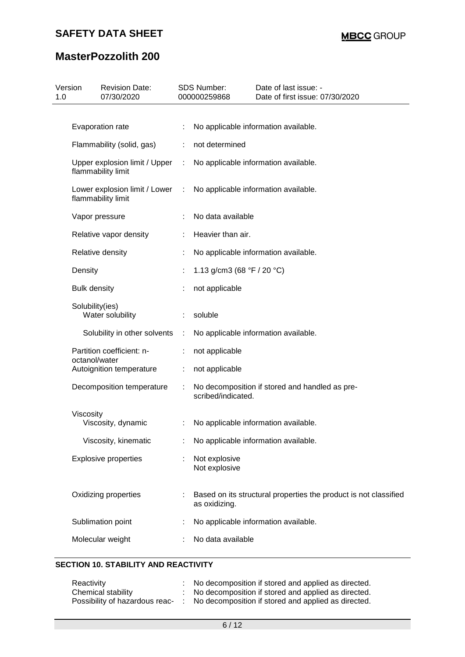## **SAFETY DATA SHEET**

# **MasterPozzolith 200**

| 1.0 | Version<br><b>Revision Date:</b><br>07/30/2020      |   | SDS Number:<br>000000259868                  | Date of last issue: -<br>Date of first issue: 07/30/2020         |
|-----|-----------------------------------------------------|---|----------------------------------------------|------------------------------------------------------------------|
|     |                                                     |   |                                              |                                                                  |
|     | Evaporation rate                                    |   |                                              | No applicable information available.                             |
|     | Flammability (solid, gas)                           |   | not determined                               |                                                                  |
|     | Upper explosion limit / Upper<br>flammability limit | ÷ |                                              | No applicable information available.                             |
|     | Lower explosion limit / Lower<br>flammability limit | ÷ |                                              | No applicable information available.                             |
|     | Vapor pressure                                      |   | No data available                            |                                                                  |
|     | Relative vapor density                              |   | Heavier than air.                            |                                                                  |
|     | Relative density                                    |   |                                              | No applicable information available.                             |
|     | Density                                             | ÷ | 1.13 g/cm3 (68 $\degree$ F / 20 $\degree$ C) |                                                                  |
|     | <b>Bulk density</b>                                 |   | not applicable                               |                                                                  |
|     | Solubility(ies)<br>Water solubility                 |   | soluble                                      |                                                                  |
|     | Solubility in other solvents                        | ÷ |                                              | No applicable information available.                             |
|     | Partition coefficient: n-<br>octanol/water          |   | not applicable                               |                                                                  |
|     | Autoignition temperature                            | ÷ | not applicable                               |                                                                  |
|     | Decomposition temperature                           | ÷ | scribed/indicated.                           | No decomposition if stored and handled as pre-                   |
|     | Viscosity                                           |   |                                              |                                                                  |
|     | Viscosity, dynamic                                  |   |                                              | No applicable information available.                             |
|     | Viscosity, kinematic                                |   |                                              | No applicable information available.                             |
|     | <b>Explosive properties</b>                         |   | Not explosive<br>Not explosive               |                                                                  |
|     | Oxidizing properties                                |   | as oxidizing.                                | Based on its structural properties the product is not classified |
|     | Sublimation point                                   |   |                                              | No applicable information available.                             |
|     | Molecular weight                                    |   | No data available                            |                                                                  |
|     |                                                     |   |                                              |                                                                  |

## **SECTION 10. STABILITY AND REACTIVITY**

| Reactivity                     | No decomposition if stored and applied as directed. |
|--------------------------------|-----------------------------------------------------|
| Chemical stability             | No decomposition if stored and applied as directed. |
| Possibility of hazardous reac- | No decomposition if stored and applied as directed. |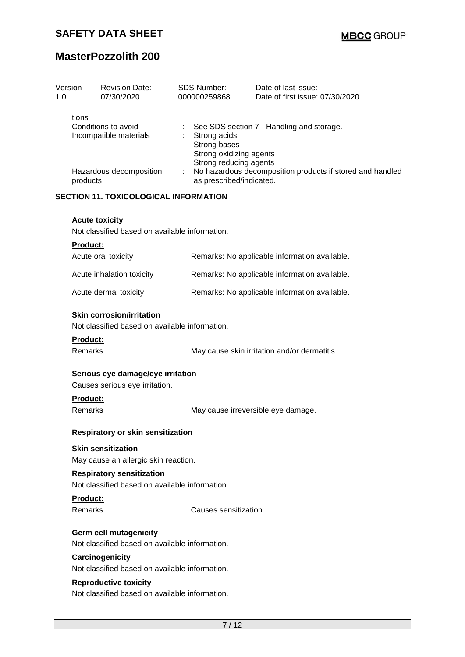| Version<br>1.0 | <b>Revision Date:</b><br>07/30/2020                                                           |    | <b>SDS Number:</b><br>000000259868                                                                            | Date of last issue: -<br>Date of first issue: 07/30/2020                                               |  |  |  |  |
|----------------|-----------------------------------------------------------------------------------------------|----|---------------------------------------------------------------------------------------------------------------|--------------------------------------------------------------------------------------------------------|--|--|--|--|
|                | tions<br>Conditions to avoid<br>Incompatible materials<br>Hazardous decomposition<br>products |    | Strong acids<br>Strong bases<br>Strong oxidizing agents<br>Strong reducing agents<br>as prescribed/indicated. | See SDS section 7 - Handling and storage.<br>No hazardous decomposition products if stored and handled |  |  |  |  |
|                | <b>SECTION 11. TOXICOLOGICAL INFORMATION</b>                                                  |    |                                                                                                               |                                                                                                        |  |  |  |  |
|                | <b>Acute toxicity</b><br>Not classified based on available information.                       |    |                                                                                                               |                                                                                                        |  |  |  |  |
|                | <b>Product:</b>                                                                               |    |                                                                                                               |                                                                                                        |  |  |  |  |
|                | Acute oral toxicity                                                                           | ÷. |                                                                                                               | Remarks: No applicable information available.                                                          |  |  |  |  |
|                | Acute inhalation toxicity                                                                     | t. |                                                                                                               | Remarks: No applicable information available.                                                          |  |  |  |  |
|                | Acute dermal toxicity                                                                         | ÷. |                                                                                                               | Remarks: No applicable information available.                                                          |  |  |  |  |
|                | <b>Skin corrosion/irritation</b><br>Not classified based on available information.            |    |                                                                                                               |                                                                                                        |  |  |  |  |
|                | Product:                                                                                      |    |                                                                                                               |                                                                                                        |  |  |  |  |
|                | Remarks                                                                                       |    |                                                                                                               | May cause skin irritation and/or dermatitis.                                                           |  |  |  |  |
|                | Serious eye damage/eye irritation<br>Causes serious eye irritation.                           |    |                                                                                                               |                                                                                                        |  |  |  |  |
|                | <b>Product:</b><br>Remarks                                                                    |    |                                                                                                               | May cause irreversible eye damage.                                                                     |  |  |  |  |
|                | Respiratory or skin sensitization                                                             |    |                                                                                                               |                                                                                                        |  |  |  |  |
|                | <b>Skin sensitization</b><br>May cause an allergic skin reaction.                             |    |                                                                                                               |                                                                                                        |  |  |  |  |
|                | <b>Respiratory sensitization</b><br>Not classified based on available information.            |    |                                                                                                               |                                                                                                        |  |  |  |  |
|                | Product:<br><b>Remarks</b>                                                                    |    | Causes sensitization.                                                                                         |                                                                                                        |  |  |  |  |
|                | Germ cell mutagenicity                                                                        |    |                                                                                                               |                                                                                                        |  |  |  |  |
|                | Not classified based on available information.                                                |    |                                                                                                               |                                                                                                        |  |  |  |  |
|                | Carcinogenicity                                                                               |    |                                                                                                               |                                                                                                        |  |  |  |  |
|                | Not classified based on available information.                                                |    |                                                                                                               |                                                                                                        |  |  |  |  |

## **Reproductive toxicity**

Not classified based on available information.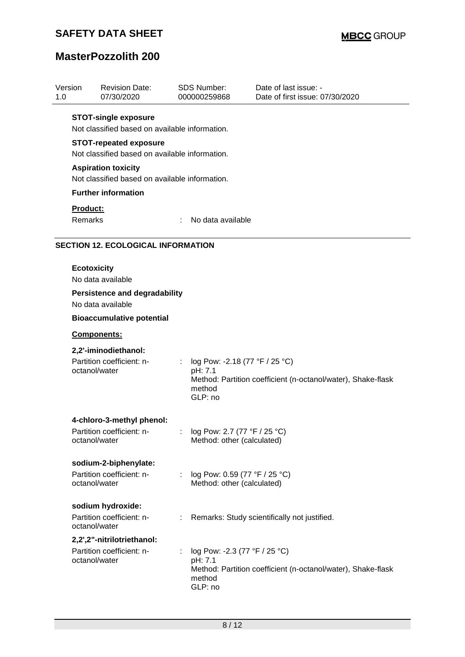## **SAFETY DATA SHEET**

# **MasterPozzolith 200**

| 1.0 | Version                                                                       | <b>Revision Date:</b><br>07/30/2020                                             |    | <b>SDS Number:</b><br>000000259868                             | Date of last issue: -<br>Date of first issue: 07/30/2020     |  |  |
|-----|-------------------------------------------------------------------------------|---------------------------------------------------------------------------------|----|----------------------------------------------------------------|--------------------------------------------------------------|--|--|
|     | <b>STOT-single exposure</b><br>Not classified based on available information. |                                                                                 |    |                                                                |                                                              |  |  |
|     |                                                                               | <b>STOT-repeated exposure</b><br>Not classified based on available information. |    |                                                                |                                                              |  |  |
|     | <b>Aspiration toxicity</b><br>Not classified based on available information.  |                                                                                 |    |                                                                |                                                              |  |  |
|     |                                                                               | <b>Further information</b>                                                      |    |                                                                |                                                              |  |  |
|     | Product:<br>Remarks                                                           |                                                                                 | ÷. | No data available                                              |                                                              |  |  |
|     |                                                                               | <b>SECTION 12. ECOLOGICAL INFORMATION</b>                                       |    |                                                                |                                                              |  |  |
|     | <b>Ecotoxicity</b>                                                            | No data available                                                               |    |                                                                |                                                              |  |  |
|     |                                                                               | <b>Persistence and degradability</b><br>No data available                       |    |                                                                |                                                              |  |  |
|     | <b>Bioaccumulative potential</b>                                              |                                                                                 |    |                                                                |                                                              |  |  |
|     | Components:                                                                   |                                                                                 |    |                                                                |                                                              |  |  |
|     | octanol/water                                                                 | 2,2'-iminodiethanol:<br>Partition coefficient: n-                               |    | log Pow: -2.18 (77 °F / 25 °C)<br>pH: 7.1<br>method<br>GLP: no | Method: Partition coefficient (n-octanol/water), Shake-flask |  |  |
|     | octanol/water                                                                 | 4-chloro-3-methyl phenol:<br>Partition coefficient: n-                          |    | log Pow: 2.7 (77 °F / 25 °C)<br>Method: other (calculated)     |                                                              |  |  |
|     | octanol/water                                                                 | sodium-2-biphenylate:<br>Partition coefficient: n-                              |    | log Pow: 0.59 (77 °F / 25 °C)<br>Method: other (calculated)    |                                                              |  |  |
|     | octanol/water                                                                 | sodium hydroxide:<br>Partition coefficient: n-                                  | ÷. |                                                                | Remarks: Study scientifically not justified.                 |  |  |
|     | octanol/water                                                                 | 2,2',2"-nitrilotriethanol:<br>Partition coefficient: n-                         |    | log Pow: -2.3 (77 °F / 25 °C)<br>pH: 7.1<br>method<br>GLP: no  | Method: Partition coefficient (n-octanol/water), Shake-flask |  |  |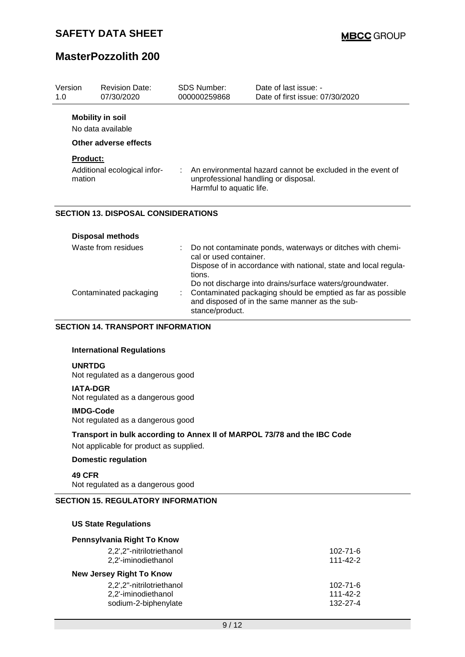| Version<br>1.0 | <b>Revision Date:</b><br>07/30/2020                       | <b>SDS Number:</b><br>000000259868 | Date of last issue: -<br>Date of first issue: 07/30/2020                                                                                                                                  |
|----------------|-----------------------------------------------------------|------------------------------------|-------------------------------------------------------------------------------------------------------------------------------------------------------------------------------------------|
|                | <b>Mobility in soil</b><br>No data available              |                                    |                                                                                                                                                                                           |
|                | Other adverse effects                                     |                                    |                                                                                                                                                                                           |
|                | <b>Product:</b><br>Additional ecological infor-<br>mation | Harmful to aquatic life.           | An environmental hazard cannot be excluded in the event of<br>unprofessional handling or disposal.                                                                                        |
|                | <b>SECTION 13. DISPOSAL CONSIDERATIONS</b>                |                                    |                                                                                                                                                                                           |
|                | <b>Disposal methods</b>                                   |                                    |                                                                                                                                                                                           |
|                | Waste from residues                                       | cal or used container.<br>tions.   | Do not contaminate ponds, waterways or ditches with chemi-<br>Dispose of in accordance with national, state and local regula-<br>Do not discharge into drains/surface waters/groundwater. |
|                | Contaminated packaging                                    |                                    | Contaminated packaging should be emptied as far as possible                                                                                                                               |

and disposed of in the same manner as the sub-

#### **SECTION 14. TRANSPORT INFORMATION**

#### **International Regulations**

#### **UNRTDG**

Not regulated as a dangerous good

#### **IATA-DGR**

Not regulated as a dangerous good

#### **IMDG-Code**

Not regulated as a dangerous good

### **Transport in bulk according to Annex II of MARPOL 73/78 and the IBC Code**

stance/product.

Not applicable for product as supplied.

### **Domestic regulation**

**49 CFR**

Not regulated as a dangerous good

### **SECTION 15. REGULATORY INFORMATION**

#### **US State Regulations**

| Pennsylvania Right To Know      |                |
|---------------------------------|----------------|
| 2,2',2"-nitrilotriethanol       | 102-71-6       |
| 2,2'-iminodiethanol             | 111-42-2       |
| <b>New Jersey Right To Know</b> |                |
| 2,2',2"-nitrilotriethanol       | $102 - 71 - 6$ |
| 2,2'-iminodiethanol             | $111 - 42 - 2$ |
| sodium-2-biphenylate            | 132-27-4       |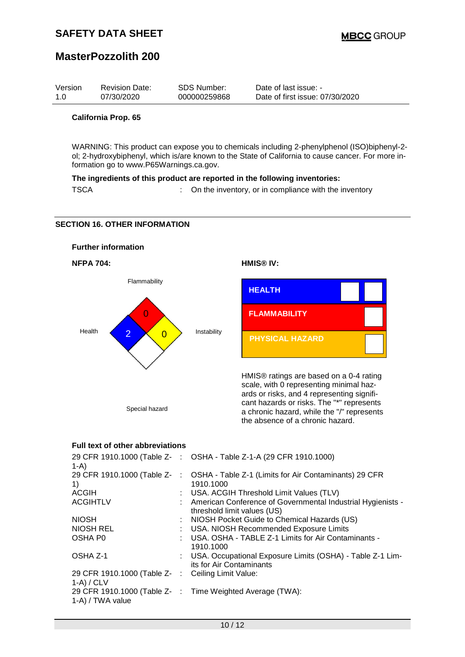| SDS Number:<br>Version<br><b>Revision Date:</b><br>07/30/2020<br>000000259868<br>1.0 | Date of last issue: -<br>Date of first issue: 07/30/2020 |
|--------------------------------------------------------------------------------------|----------------------------------------------------------|
|--------------------------------------------------------------------------------------|----------------------------------------------------------|

#### **California Prop. 65**

WARNING: This product can expose you to chemicals including 2-phenylphenol (ISO)biphenyl-2 ol; 2-hydroxybiphenyl, which is/are known to the State of California to cause cancer. For more information go to www.P65Warnings.ca.gov.

#### **The ingredients of this product are reported in the following inventories:**

TSCA **:** On the inventory, or in compliance with the inventory

### **SECTION 16. OTHER INFORMATION**



### **Full text of other abbreviations**

| 1-A)                                                               | 29 CFR 1910.1000 (Table Z- : OSHA - Table Z-1-A (29 CFR 1910.1000)                              |
|--------------------------------------------------------------------|-------------------------------------------------------------------------------------------------|
| 1)                                                                 | 29 CFR 1910.1000 (Table Z- : OSHA - Table Z-1 (Limits for Air Contaminants) 29 CFR<br>1910.1000 |
| <b>ACGIH</b>                                                       | : USA. ACGIH Threshold Limit Values (TLV)                                                       |
| <b>ACGIHTLV</b>                                                    | : American Conference of Governmental Industrial Hygienists -<br>threshold limit values (US)    |
| <b>NIOSH</b>                                                       | : NIOSH Pocket Guide to Chemical Hazards (US)                                                   |
| <b>NIOSH REL</b>                                                   | : USA. NIOSH Recommended Exposure Limits                                                        |
| OSHA P0                                                            | : USA. OSHA - TABLE Z-1 Limits for Air Contaminants -<br>1910.1000                              |
| OSHA Z-1                                                           | : USA. Occupational Exposure Limits (OSHA) - Table Z-1 Lim-<br>its for Air Contaminants         |
| 29 CFR 1910.1000 (Table Z- : Ceiling Limit Value:<br>$1-A$ ) / CLV |                                                                                                 |
| 1-A) / TWA value                                                   | 29 CFR 1910.1000 (Table Z- : Time Weighted Average (TWA):                                       |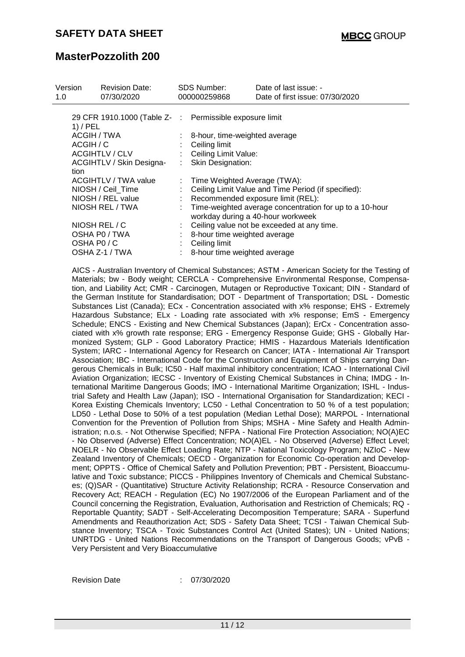| Version<br>1.0 | <b>Revision Date:</b><br>07/30/2020 |   | <b>SDS Number:</b><br>000000259868                      | Date of last issue: -<br>Date of first issue: 07/30/2020                                       |
|----------------|-------------------------------------|---|---------------------------------------------------------|------------------------------------------------------------------------------------------------|
|                | 1) / PEL                            |   | 29 CFR 1910.1000 (Table Z- : Permissible exposure limit |                                                                                                |
|                | ACGIH / TWA                         |   | : 8-hour, time-weighted average                         |                                                                                                |
|                | ACGIH / C                           |   | $\therefore$ Ceiling limit                              |                                                                                                |
|                | <b>ACGIHTLV / CLV</b>               |   | : Ceiling Limit Value:                                  |                                                                                                |
|                | ACGIHTLV / Skin Designa-            |   | : Skin Designation:                                     |                                                                                                |
|                | tion                                |   |                                                         |                                                                                                |
|                | ACGIHTLV / TWA value                | ÷ | Time Weighted Average (TWA):                            |                                                                                                |
|                | NIOSH / Ceil_Time                   |   |                                                         | Ceiling Limit Value and Time Period (if specified):                                            |
|                | NIOSH / REL value                   |   |                                                         | : Recommended exposure limit (REL):                                                            |
|                | NIOSH REL / TWA                     |   |                                                         | : Time-weighted average concentration for up to a 10-hour<br>workday during a 40-hour workweek |
|                | NIOSH REL / C                       |   |                                                         | Ceiling value not be exceeded at any time.                                                     |
|                | OSHA P0 / TWA                       |   | 8-hour time weighted average                            |                                                                                                |
|                | OSHA P0/C                           |   | Ceiling limit                                           |                                                                                                |
|                | OSHA Z-1 / TWA                      |   | : 8-hour time weighted average                          |                                                                                                |

AICS - Australian Inventory of Chemical Substances; ASTM - American Society for the Testing of Materials; bw - Body weight; CERCLA - Comprehensive Environmental Response, Compensation, and Liability Act; CMR - Carcinogen, Mutagen or Reproductive Toxicant; DIN - Standard of the German Institute for Standardisation; DOT - Department of Transportation; DSL - Domestic Substances List (Canada); ECx - Concentration associated with x% response; EHS - Extremely Hazardous Substance; ELx - Loading rate associated with x% response; EmS - Emergency Schedule; ENCS - Existing and New Chemical Substances (Japan); ErCx - Concentration associated with x% growth rate response; ERG - Emergency Response Guide; GHS - Globally Harmonized System; GLP - Good Laboratory Practice; HMIS - Hazardous Materials Identification System; IARC - International Agency for Research on Cancer; IATA - International Air Transport Association; IBC - International Code for the Construction and Equipment of Ships carrying Dangerous Chemicals in Bulk; IC50 - Half maximal inhibitory concentration; ICAO - International Civil Aviation Organization; IECSC - Inventory of Existing Chemical Substances in China; IMDG - International Maritime Dangerous Goods; IMO - International Maritime Organization; ISHL - Industrial Safety and Health Law (Japan); ISO - International Organisation for Standardization; KECI - Korea Existing Chemicals Inventory; LC50 - Lethal Concentration to 50 % of a test population; LD50 - Lethal Dose to 50% of a test population (Median Lethal Dose); MARPOL - International Convention for the Prevention of Pollution from Ships; MSHA - Mine Safety and Health Administration; n.o.s. - Not Otherwise Specified; NFPA - National Fire Protection Association; NO(A)EC - No Observed (Adverse) Effect Concentration; NO(A)EL - No Observed (Adverse) Effect Level; NOELR - No Observable Effect Loading Rate; NTP - National Toxicology Program; NZIoC - New Zealand Inventory of Chemicals; OECD - Organization for Economic Co-operation and Development; OPPTS - Office of Chemical Safety and Pollution Prevention; PBT - Persistent, Bioaccumulative and Toxic substance; PICCS - Philippines Inventory of Chemicals and Chemical Substances; (Q)SAR - (Quantitative) Structure Activity Relationship; RCRA - Resource Conservation and Recovery Act; REACH - Regulation (EC) No 1907/2006 of the European Parliament and of the Council concerning the Registration, Evaluation, Authorisation and Restriction of Chemicals; RQ - Reportable Quantity; SADT - Self-Accelerating Decomposition Temperature; SARA - Superfund Amendments and Reauthorization Act; SDS - Safety Data Sheet; TCSI - Taiwan Chemical Substance Inventory; TSCA - Toxic Substances Control Act (United States); UN - United Nations; UNRTDG - United Nations Recommendations on the Transport of Dangerous Goods; vPvB - Very Persistent and Very Bioaccumulative

Revision Date : 07/30/2020